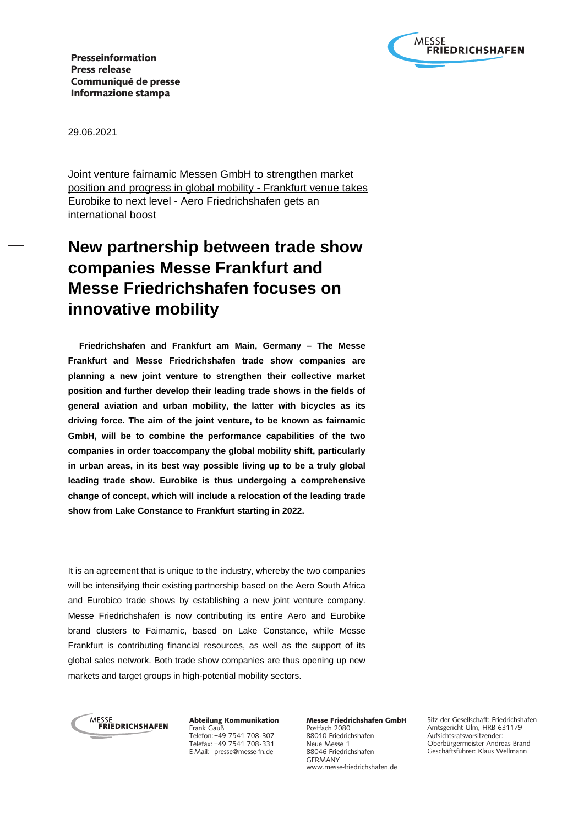

Presseinformation Press release Communiqué de presse Informazione stampa

29.06.2021

Joint venture fairnamic Messen GmbH to strengthen market position and progress in global mobility - Frankfurt venue takes Eurobike to next level - Aero Friedrichshafen gets an international boost

# **New partnership between trade show companies Messe Frankfurt and Messe Friedrichshafen focuses on innovative mobility**

 **Friedrichshafen and Frankfurt am Main, Germany – The Messe Frankfurt and Messe Friedrichshafen trade show companies are planning a new joint venture to strengthen their collective market position and further develop their leading trade shows in the fields of general aviation and urban mobility, the latter with bicycles as its driving force. The aim of the joint venture, to be known as fairnamic GmbH, will be to combine the performance capabilities of the two companies in order toaccompany the global mobility shift, particularly in urban areas, in its best way possible living up to be a truly global leading trade show. Eurobike is thus undergoing a comprehensive change of concept, which will include a relocation of the leading trade show from Lake Constance to Frankfurt starting in 2022.**

It is an agreement that is unique to the industry, whereby the two companies will be intensifying their existing partnership based on the Aero South Africa and Eurobico trade shows by establishing a new joint venture company. Messe Friedrichshafen is now contributing its entire Aero and Eurobike brand clusters to Fairnamic, based on Lake Constance, while Messe Frankfurt is contributing financial resources, as well as the support of its global sales network. Both trade show companies are thus opening up new markets and target groups in high-potential mobility sectors.



Abteilung Kommunikation Frank Gauß Telefon: +49 7541 708-307 Telefax: +49 7541 708-331 E-Mail: presse@messe-fn.de

Messe Friedrichshafen GmbH Postfach 2080 88010 Friedrichshafen Neue Messe 1 88046 Friedrichshafen GERMANY www.messe-friedrichshafen.de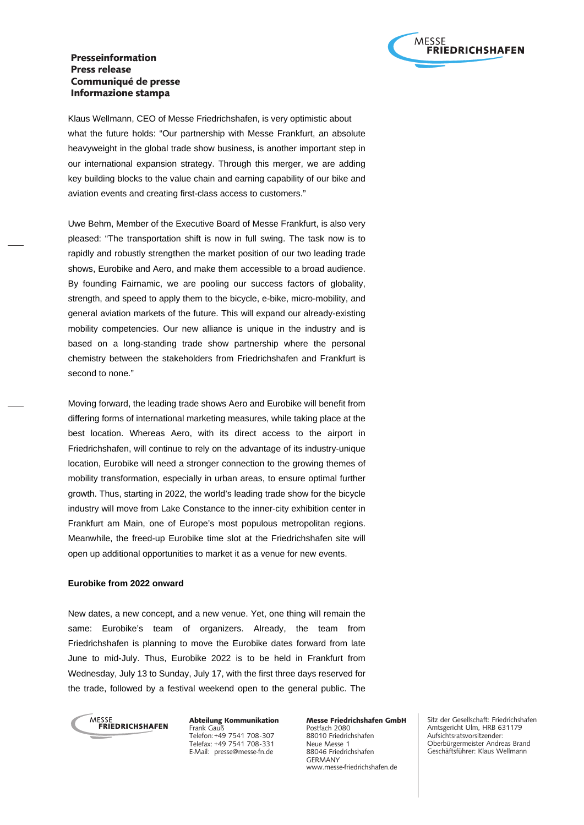## Presseinformation Press release Communiqué de presse Informazione stampa



Klaus Wellmann, CEO of Messe Friedrichshafen, is very optimistic about what the future holds: "Our partnership with Messe Frankfurt, an absolute heavyweight in the global trade show business, is another important step in our international expansion strategy. Through this merger, we are adding key building blocks to the value chain and earning capability of our bike and aviation events and creating first-class access to customers."

Uwe Behm, Member of the Executive Board of Messe Frankfurt, is also very pleased: "The transportation shift is now in full swing. The task now is to rapidly and robustly strengthen the market position of our two leading trade shows, Eurobike and Aero, and make them accessible to a broad audience. By founding Fairnamic, we are pooling our success factors of globality, strength, and speed to apply them to the bicycle, e-bike, micro-mobility, and general aviation markets of the future. This will expand our already-existing mobility competencies. Our new alliance is unique in the industry and is based on a long-standing trade show partnership where the personal chemistry between the stakeholders from Friedrichshafen and Frankfurt is second to none."

Moving forward, the leading trade shows Aero and Eurobike will benefit from differing forms of international marketing measures, while taking place at the best location. Whereas Aero, with its direct access to the airport in Friedrichshafen, will continue to rely on the advantage of its industry-unique location, Eurobike will need a stronger connection to the growing themes of mobility transformation, especially in urban areas, to ensure optimal further growth. Thus, starting in 2022, the world's leading trade show for the bicycle industry will move from Lake Constance to the inner-city exhibition center in Frankfurt am Main, one of Europe's most populous metropolitan regions. Meanwhile, the freed-up Eurobike time slot at the Friedrichshafen site will open up additional opportunities to market it as a venue for new events.

### **Eurobike from 2022 onward**

New dates, a new concept, and a new venue. Yet, one thing will remain the same: Eurobike's team of organizers. Already, the team from Friedrichshafen is planning to move the Eurobike dates forward from late June to mid-July. Thus, Eurobike 2022 is to be held in Frankfurt from Wednesday, July 13 to Sunday, July 17, with the first three days reserved for the trade, followed by a festival weekend open to the general public. The



Abteilung Kommunikation Frank Gauß Telefon: +49 7541 708-307 Telefax: +49 7541 708-331 E-Mail: presse@messe-fn.de

Messe Friedrichshafen GmbH Postfach 2080 88010 Friedrichshafen Neue Messe 1 88046 Friedrichshafen GERMANY www.messe-friedrichshafen.de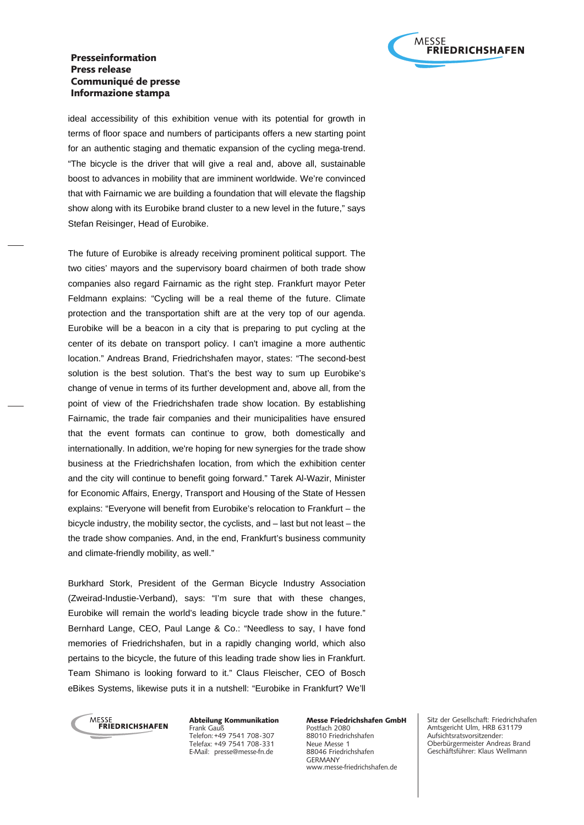

## Presseinformation Press release Communiqué de presse Informazione stampa

ideal accessibility of this exhibition venue with its potential for growth in terms of floor space and numbers of participants offers a new starting point for an authentic staging and thematic expansion of the cycling mega-trend. "The bicycle is the driver that will give a real and, above all, sustainable boost to advances in mobility that are imminent worldwide. We're convinced that with Fairnamic we are building a foundation that will elevate the flagship show along with its Eurobike brand cluster to a new level in the future," says Stefan Reisinger, Head of Eurobike.

The future of Eurobike is already receiving prominent political support. The two cities' mayors and the supervisory board chairmen of both trade show companies also regard Fairnamic as the right step. Frankfurt mayor Peter Feldmann explains: "Cycling will be a real theme of the future. Climate protection and the transportation shift are at the very top of our agenda. Eurobike will be a beacon in a city that is preparing to put cycling at the center of its debate on transport policy. I can't imagine a more authentic location." Andreas Brand, Friedrichshafen mayor, states: "The second-best solution is the best solution. That's the best way to sum up Eurobike's change of venue in terms of its further development and, above all, from the point of view of the Friedrichshafen trade show location. By establishing Fairnamic, the trade fair companies and their municipalities have ensured that the event formats can continue to grow, both domestically and internationally. In addition, we're hoping for new synergies for the trade show business at the Friedrichshafen location, from which the exhibition center and the city will continue to benefit going forward." Tarek Al-Wazir, Minister for Economic Affairs, Energy, Transport and Housing of the State of Hessen explains: "Everyone will benefit from Eurobike's relocation to Frankfurt – the bicycle industry, the mobility sector, the cyclists, and – last but not least – the the trade show companies. And, in the end, Frankfurt's business community and climate-friendly mobility, as well."

Burkhard Stork, President of the German Bicycle Industry Association (Zweirad-Industie-Verband), says: "I'm sure that with these changes, Eurobike will remain the world's leading bicycle trade show in the future." Bernhard Lange, CEO, Paul Lange & Co.: "Needless to say, I have fond memories of Friedrichshafen, but in a rapidly changing world, which also pertains to the bicycle, the future of this leading trade show lies in Frankfurt. Team Shimano is looking forward to it." Claus Fleischer, CEO of Bosch eBikes Systems, likewise puts it in a nutshell: "Eurobike in Frankfurt? We'll



Abteilung Kommunikation Frank Gauß Telefon: +49 7541 708-307 Telefax: +49 7541 708-331 E-Mail: presse@messe-fn.de

Messe Friedrichshafen GmbH Postfach 2080 88010 Friedrichshafen Neue Messe 1 88046 Friedrichshafen GERMANY www.messe-friedrichshafen.de